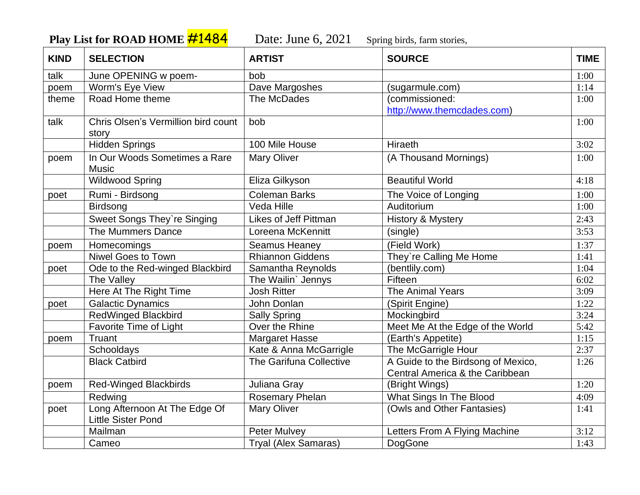**Play List for ROAD HOME #1484** Date: June 6, 2021 Spring birds, farm stories,

| <b>KIND</b> | <b>SELECTION</b>                                           | <b>ARTIST</b>           | <b>SOURCE</b>                                                         | <b>TIME</b> |
|-------------|------------------------------------------------------------|-------------------------|-----------------------------------------------------------------------|-------------|
| talk        | June OPENING w poem-                                       | bob                     |                                                                       | 1:00        |
| poem        | Worm's Eye View                                            | Dave Margoshes          | (sugarmule.com)                                                       | 1:14        |
| theme       | Road Home theme                                            | The McDades             | (commissioned:<br>http://www.themcdades.com)                          | 1:00        |
| talk        | Chris Olsen's Vermillion bird count<br>story               | bob                     |                                                                       | 1:00        |
|             | <b>Hidden Springs</b>                                      | 100 Mile House          | Hiraeth                                                               | 3:02        |
| poem        | In Our Woods Sometimes a Rare<br><b>Music</b>              | <b>Mary Oliver</b>      | (A Thousand Mornings)                                                 | 1:00        |
|             | <b>Wildwood Spring</b>                                     | Eliza Gilkyson          | <b>Beautiful World</b>                                                | 4:18        |
| poet        | Rumi - Birdsong                                            | <b>Coleman Barks</b>    | The Voice of Longing                                                  | 1:00        |
|             | Birdsong                                                   | Veda Hille              | Auditorium                                                            | 1:00        |
|             | <b>Sweet Songs They're Singing</b>                         | Likes of Jeff Pittman   | <b>History &amp; Mystery</b>                                          | 2:43        |
|             | The Mummers Dance                                          | Loreena McKennitt       | (single)                                                              | 3:53        |
| poem        | Homecomings                                                | <b>Seamus Heaney</b>    | (Field Work)                                                          | 1:37        |
|             | Niwel Goes to Town                                         | <b>Rhiannon Giddens</b> | They're Calling Me Home                                               | 1:41        |
| poet        | Ode to the Red-winged Blackbird                            | Samantha Reynolds       | (bentlily.com)                                                        | 1:04        |
|             | The Valley                                                 | The Wailin' Jennys      | Fifteen                                                               | 6:02        |
|             | Here At The Right Time                                     | <b>Josh Ritter</b>      | The Animal Years                                                      | 3:09        |
| poet        | <b>Galactic Dynamics</b>                                   | John Donlan             | (Spirit Engine)                                                       | 1:22        |
|             | <b>RedWinged Blackbird</b>                                 | <b>Sally Spring</b>     | Mockingbird                                                           | 3:24        |
|             | <b>Favorite Time of Light</b>                              | Over the Rhine          | Meet Me At the Edge of the World                                      | 5:42        |
| poem        | Truant                                                     | <b>Margaret Hasse</b>   | (Earth's Appetite)                                                    | 1:15        |
|             | Schooldays                                                 | Kate & Anna McGarrigle  | The McGarrigle Hour                                                   | 2:37        |
|             | <b>Black Catbird</b>                                       | The Garifuna Collective | A Guide to the Birdsong of Mexico,<br>Central America & the Caribbean | 1:26        |
| poem        | <b>Red-Winged Blackbirds</b>                               | Juliana Gray            | (Bright Wings)                                                        | 1:20        |
|             | Redwing                                                    | <b>Rosemary Phelan</b>  | What Sings In The Blood                                               | 4:09        |
| poet        | Long Afternoon At The Edge Of<br><b>Little Sister Pond</b> | <b>Mary Oliver</b>      | (Owls and Other Fantasies)                                            | 1:41        |
|             | Mailman                                                    | <b>Peter Mulvey</b>     | Letters From A Flying Machine                                         | 3:12        |
|             | Cameo                                                      | Tryal (Alex Samaras)    | DogGone                                                               | 1:43        |